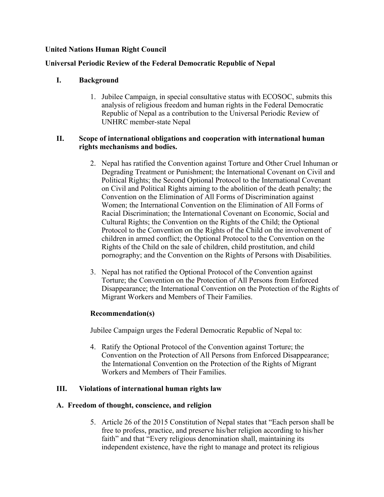## **United Nations Human Right Council**

## **Universal Periodic Review of the Federal Democratic Republic of Nepal**

## **I. Background**

1. Jubilee Campaign, in special consultative status with ECOSOC, submits this analysis of religious freedom and human rights in the Federal Democratic Republic of Nepal as <sup>a</sup> contribution to the Universal Periodic Review of UNHRC member-state Nepal

### **II. Scope of international obligations and cooperation with international human rights mechanisms and bodies.**

- 2. Nepal has ratified the Convention against Torture and Other Cruel Inhuman or Degrading Treatment or Punishment; the International Covenant on Civil and Political Rights; the Second Optional Protocol to the International Covenant on Civil and Political Rights aiming to the abolition of the death penalty; the Convention on the Elimination of All Forms of Discrimination against Women; the International Convention on the Elimination of All Forms of Racial Discrimination; the International Covenant on Economic, Social and Cultural Rights; the Convention on the Rights of the Child; the Optional Protocol to the Convention on the Rights of the Child on the involvement of children in armed conflict; the Optional Protocol to the Convention on the Rights of the Child on the sale of children, child prostitution, and child pornography; and the Convention on the Rights of Persons with Disabilities.
- 3. Nepal has not ratified the Optional Protocol of the Convention against Torture; the Convention on the Protection of All Persons from Enforced Disappearance; the International Convention on the Protection of the Rights of Migrant Workers and Members of Their Families.

## **Recommendation(s)**

Jubilee Campaign urges the Federal Democratic Republic of Nepal to:

4. Ratify the Optional Protocol of the Convention against Torture; the Convention on the Protection of All Persons from Enforced Disappearance; the International Convention on the Protection of the Rights of Migrant Workers and Members of Their Families.

## **III. Violations of international human rights law**

## **A. Freedom of thought, conscience, and religion**

5. Article 26 of the 2015 Constitution of Nepal states that "Each person shall be free to profess, practice, and preserve his/her religion according to his/her faith" and that "Every religious denomination shall, maintaining its independent existence, have the right to manage and protect its religious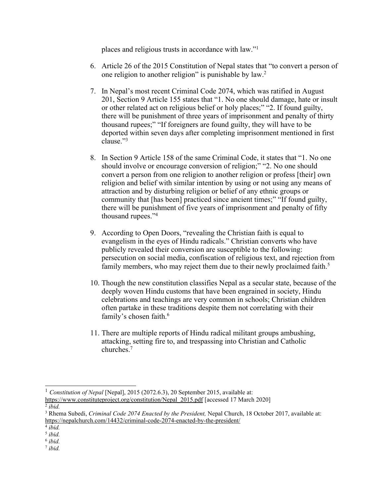<sup>p</sup>laces and religious trusts in accordance with law."<sup>1</sup>

- 6. Article 26 of the 2015 Constitution of Nepal states that "to convert <sup>a</sup> person of one religion to another religion" is punishable by law.<sup>2</sup>
- 7. In Nepal'<sup>s</sup> most recent Criminal Code 2074, which was ratified in August 201, Section 9 Article 155 states that "1. No one should damage, hate or insult or other related act on religious belief or holy places;" "2. If found guilty, there will be punishment of three years of imprisonment and penalty of thirty thousand rupees;" "If foreigners are found guilty, they will have to be deported within seven days after completing imprisonment mentioned in first clause."<sup>3</sup>
- 8. In Section 9 Article 158 of the same Criminal Code, it states that "1. No one should involve or encourage conversion of religion;" "2. No one should convert <sup>a</sup> person from one religion to another religion or profess [their] own religion and belief with similar intention by using or not using any means of attraction and by disturbing religion or belief of any ethnic groups or community that [has been] practiced since ancient times;" "If found guilty, there will be punishment of five years of imprisonment and penalty of fifty thousand rupees."<sup>4</sup>
- 9. According to Open Doors, "revealing the Christian faith is equal to evangelism in the eyes of Hindu radicals." Christian converts who have publicly revealed their conversion are susceptible to the following: persecution on social media, confiscation of religious text, and rejection from family members, who may reject them due to their newly proclaimed faith.<sup>5</sup>
- 10. Though the new constitution classifies Nepal as <sup>a</sup> secular state, because of the deeply woven Hindu customs that have been engrained in society, Hindu celebrations and teachings are very common in schools; Christian children often partake in these traditions despite them not correlating with their family'<sup>s</sup> chosen faith. 6
- 11. There are multiple reports of Hindu radical militant groups ambushing, attacking, setting fire to, and trespassing into Christian and Catholic churches. 7

<sup>1</sup> *Constitution of Nepal* [Nepal], 2015 (2072.6.3), 20 September 2015, available at: https://www.constituteproject.org/constitution/Nepal\_2015.pdf [accessed 17 March 2020]

<sup>2</sup> *ibid.*

<sup>3</sup> Rhema Subedi, *Criminal Code 2074 Enacted by the President,* Nepal Church, 18 October 2017, available at: https://nepalchurch.com/14432/criminal-code-2074-enacted-by-the-president/

<sup>4</sup> *ibid.*

<sup>5</sup> *ibid.*

<sup>6</sup> *ibid.* 7 *ibid.*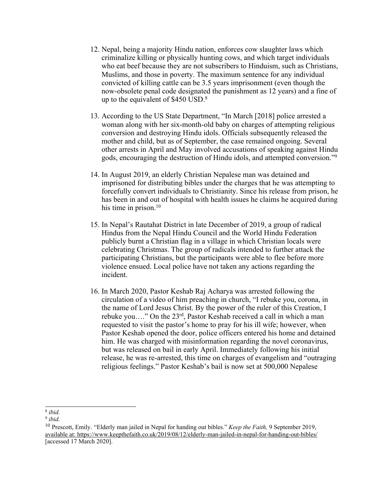- 12. Nepal, being <sup>a</sup> majority Hindu nation, enforces cow slaughter laws which criminalize killing or physically hunting cows, and which target individuals who eat beef because they are not subscribers to Hinduism, such as Christians, Muslims, and those in poverty. The maximum sentence for any individual convicted of killing cattle can be 3.5 years imprisonment (even though the now-obsolete penal code designated the punishment as 12 years) and <sup>a</sup> fine of up to the equivalent of \$450 USD. $^8$
- 13. According to the US State Department, "In March [2018] police arrested <sup>a</sup> woman along with her six-month-old baby on charges of attempting religious conversion and destroying Hindu idols. Officials subsequently released the mother and child, but as of September, the case remained ongoing. Several other arrests in April and May involved accusations of speaking against Hindu gods, encouraging the destruction of Hindu idols, and attempted conversion."<sup>9</sup>
- 14. In August 2019, an elderly Christian Nepalese man was detained and imprisoned for distributing bibles under the charges that he was attempting to forcefully convert individuals to Christianity. Since his release from prison, he has been in and out of hospital with health issues he claims he acquired during his time in prison. 10
- 15. In Nepal'<sup>s</sup> Rautahat District in late December of 2019, <sup>a</sup> group of radical Hindus from the Nepal Hindu Council and the World Hindu Federation publicly burnt <sup>a</sup> Christian flag in <sup>a</sup> village in which Christian locals were celebrating Christmas. The group of radicals intended to further attack the participating Christians, but the participants were able to flee before more violence ensued. Local police have not taken any actions regarding the incident.
- 16. In March 2020, Pastor Keshab Raj Acharya was arrested following the circulation of <sup>a</sup> video of him preaching in church, "I rebuke you, corona, in the name of Lord Jesus Christ. By the power of the ruler of this Creation, I rebuke you...." On the 23<sup>rd</sup>, Pastor Keshab received a call in which a man requested to visit the pastor'<sup>s</sup> home to pray for his ill wife; however, when Pastor Keshab opened the door, police officers entered his home and detained him. He was charged with misinformation regarding the novel coronavirus, but was released on bail in early April. Immediately following his initial release, he was re-arrested, this time on charges of evangelism and "outraging religious feelings." Pastor Keshab'<sup>s</sup> bail is now set at 500,000 Nepalese

<sup>8</sup> *ibid.*

<sup>9</sup> *ibid.*

<sup>10</sup> Prescott, Emily. "Elderly man jailed in Nepal for handing out bibles." *Keep the Faith,* 9 September 2019, available at: https://www.keepthefaith.co.uk/2019/08/12/elderly-man-jailed-in-nepal-for-handing-out-bibles/ [accessed 17 March 2020].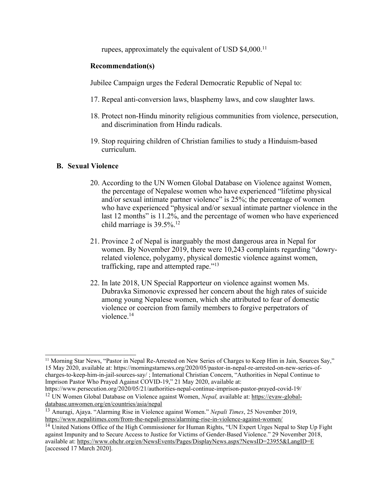rupees, approximately the equivalent of USD \$4,000.<sup>11</sup>

#### **Recommendation(s)**

Jubilee Campaign urges the Federal Democratic Republic of Nepal to:

- 17. Repeal anti-conversion laws, blasphemy laws, and cow slaughter laws.
- 18. Protect non-Hindu minority religious communities from violence, persecution, and discrimination from Hindu radicals.
- 19. Stop requiring children of Christian families to study <sup>a</sup> Hinduism-based curriculum.

#### **B. Sexual Violence**

- 20. According to the UN Women Global Database on Violence against Women, the percentage of Nepalese women who have experienced "lifetime physical and/or sexual intimate partner violence" is 25%; the percentage of women who have experienced "physical and/or sexual intimate partner violence in the last 12 months" is 11.2%, and the percentage of women who have experienced child marriage is 39.5%. 12
- 21. Province 2 of Nepal is inarguably the most dangerous area in Nepal for women. By November 2019, there were 10,243 complaints regarding "dowryrelated violence, polygamy, physical domestic violence against women, trafficking, rape and attempted rape."<sup>13</sup>
- 22. In late 2018, UN Special Rapporteur on violence against women Ms. Dubravka Simonovic expressed her concern about the high rates of suicide among young Nepalese women, which she attributed to fear of domestic violence or coercion from family members to forgive perpetrators of violence. 14

<sup>11</sup> Morning Star News, "Pastor in Nepal Re-Arrested on New Series of Charges to Keep Him in Jain, Sources Say," 15 May 2020, available at: https://morningstarnews.org/2020/05/pastor-in-nepal-re-arrested-on-new-series-ofcharges-to-keep-him-in-jail-sources-say/ ; International Christian Concern, "Authorities in Nepal Continue to Imprison Pastor Who Prayed Against COVID-19," 21 May 2020, available at:

https://www.persecution.org/2020/05/21/authorities-nepal-continue-imprison-pastor-prayed-covid-19/ <sup>12</sup> UN Women Global Database on Violence against Women, *Nepal*, available at: https://evaw-globaldatabase.unwomen.org/en/countries/asia/nepal

<sup>13</sup> Anuragi, Ajaya. "Alarming Rise in Violence against Women." *Nepali Times*, 25 November 2019, https://www.nepalitimes.com/from-the-nepali-press/alarming-rise-in-violence-against-women/

<sup>&</sup>lt;sup>14</sup> United Nations Office of the High Commissioner for Human Rights, "UN Expert Urges Nepal to Step Up Fight against Impunity and to Secure Access to Justice for Victims of Gender-Based Violence." 29 November 2018, available at: https://www.ohchr.org/en/NewsEvents/Pages/DisplayNews.aspx?NewsID=23955&LangID=E [accessed 17 March 2020].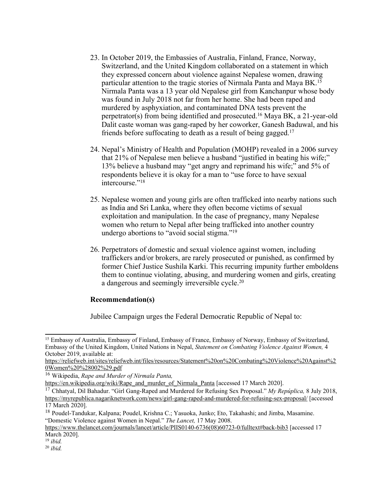- 23. In October 2019, the Embassies of Australia, Finland, France, Norway, Switzerland, and the United Kingdom collaborated on <sup>a</sup> statement in which they expressed concern about violence against Nepalese women, drawing particular attention to the tragic stories of Nirmala Panta and Maya BK. 15 Nirmala Panta was <sup>a</sup> 13 year old Nepalese girl from Kanchanpur whose body was found in July 2018 not far from her home. She had been raped and murdered by asphyxiation, and contaminated DNA tests preven<sup>t</sup> the perpetrator(s) from being identified and prosecuted. <sup>16</sup> Maya BK, <sup>a</sup> 21-year-old Dalit caste woman was gang-raped by her coworker, Ganesh Baduwal, and his friends before suffocating to death as <sup>a</sup> result of being gagged. 17
- 24. Nepal'<sup>s</sup> Ministry of Health and Population (MOHP) revealed in <sup>a</sup> 2006 survey that 21% of Nepalese men believe <sup>a</sup> husband "justified in beating his wife;" 13% believe <sup>a</sup> husband may "ge<sup>t</sup> angry and reprimand his wife;" and 5% of respondents believe it is okay for <sup>a</sup> man to "use force to have sexual intercourse."<sup>18</sup>
- 25. Nepalese women and young girls are often trafficked into nearby nations such as India and Sri Lanka, where they often become victims of sexual exploitation and manipulation. In the case of pregnancy, many Nepalese women who return to Nepal after being trafficked into another country undergo abortions to "avoid social stigma."<sup>19</sup>
- 26. Perpetrators of domestic and sexual violence against women, including traffickers and/or brokers, are rarely prosecuted or punished, as confirmed by former Chief Justice Sushila Karki. This recurring impunity further emboldens them to continue violating, abusing, and murdering women and girls, creating <sup>a</sup> dangerous and seemingly irreversible cycle. 20

#### **Recommendation(s)**

Jubilee Campaign urges the Federal Democratic Republic of Nepal to:

<sup>&</sup>lt;sup>15</sup> Embassy of Australia, Embassy of Finland, Embassy of France, Embassy of Norway, Embassy of Switzerland, Embassy of the United Kingdom, United Nations in Nepal, *Statement on Combating Violence Against Women,* 4 October 2019, available at:

https://reliefweb.int/sites/reliefweb.int/files/resources/Statement%20on%20Combating%20Violence%20Against%2 0Women%20%28002%29.pdf

<sup>16</sup> Wikipedia, *Rape and Murder of Nirmala Panta,*

https://en.wikipedia.org/wiki/Rape\_and\_murder\_of\_Nirmala\_Panta [accessed 17 March 2020].

<sup>17</sup> Chhatyal, Dil Bahadur. "Girl Gang-Raped and Murdered for Refusing Sex Proposal." *My Repúplica,* 8 July 2018, https://myrepublica.nagariknetwork.com/news/girl-gang-raped-and-murdered-for-refusing-sex-proposal/ [accessed 17 March 2020].

<sup>&</sup>lt;sup>18</sup> Poudel-Tandukar, Kalpana; Poudel, Krishna C.; Yasuoka, Junko; Eto, Takahashi; and Jimba, Masamine. "Domestic Violence against Women in Nepal." *The Lancet,* 17 May 2008.

https://www.thelancet.com/journals/lancet/article/PIIS0140-6736(08)60723-0/fulltext#back-bib3 [accessed 17 March 2020].

<sup>19</sup> *ibid.*

<sup>20</sup> *ibid.*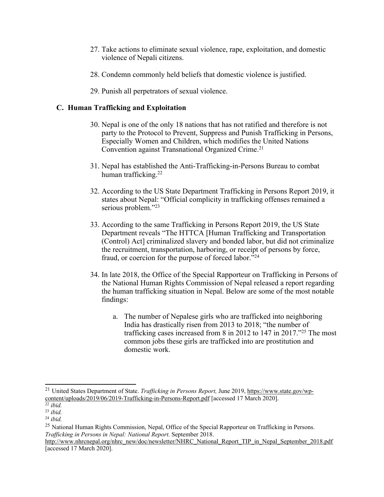- 27. Take actions to eliminate sexual violence, rape, exploitation, and domestic violence of Nepali citizens.
- 28. Condemn commonly held beliefs that domestic violence is justified.
- 29. Punish all perpetrators of sexual violence.

### **C. Human Trafficking and Exploitation**

- 30. Nepal is one of the only 18 nations that has not ratified and therefore is not party to the Protocol to Prevent, Suppress and Punish Trafficking in Persons, Especially Women and Children, which modifies the United Nations Convention against Transnational Organized Crime. 21
- 31. Nepal has established the Anti-Trafficking-in-Persons Bureau to combat human trafficking. 22
- 32. According to the US State Department Trafficking in Persons Report 2019, it states about Nepal: "Official complicity in trafficking offenses remained <sup>a</sup> serious problem."23
- 33. According to the same Trafficking in Persons Report 2019, the US State Department reveals "The HTTCA [Human Trafficking and Transportation (Control) Act] criminalized slavery and bonded labor, but did not criminalize the recruitment, transportation, harboring, or receipt of persons by force, fraud, or coercion for the purpose of forced labor."<sup>24</sup>
- 34. In late 2018, the Office of the Special Rapporteur on Trafficking in Persons of the National Human Rights Commission of Nepal released <sup>a</sup> repor<sup>t</sup> regarding the human trafficking situation in Nepal. Below are some of the most notable findings:
	- a. The number of Nepalese girls who are trafficked into neighboring India has drastically risen from 2013 to 2018; "the number of trafficking cases increased from 8 in 2012 to 147 in 2017."<sup>25</sup> The most common jobs these girls are trafficked into are prostitution and domestic work.

<sup>21</sup> United States Department of State. *Trafficking in Persons Report,* June 2019, https://www.state.gov/wpcontent/uploads/2019/06/2019-Trafficking-in-Persons-Report.pdf [accessed 17 March 2020].<br><sup>22</sup>.ibid

*ibid.*

<sup>23</sup> *ibid.*

<sup>24</sup> *ibid.*

<sup>&</sup>lt;sup>25</sup> National Human Rights Commission, Nepal, Office of the Special Rapporteur on Trafficking in Persons. *Trafficking in Persons in Nepal: National Report.* September 2018.

http://www.nhrcnepal.org/nhrc\_new/doc/newsletter/NHRC\_National\_Report\_TIP\_in\_Nepal\_September\_2018.pdf [accessed 17 March 2020].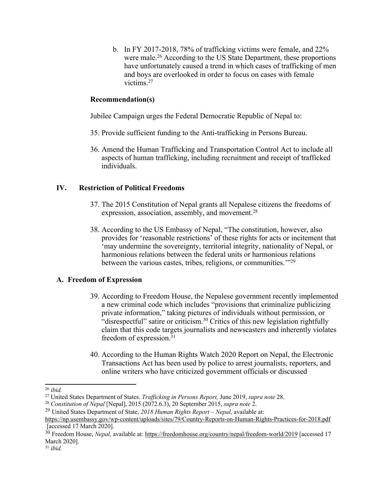b. In FY 2017-2018, 78% of trafficking victims were female, and 22% were male.<sup>26</sup> According to the US State Department, these proportions have unfortunately caused <sup>a</sup> trend in which cases of trafficking of men and boys are overlooked in order to focus on cases with female victims. 27

### **Recommendation(s)**

Jubilee Campaign urges the Federal Democratic Republic of Nepal to:

- 35. Provide sufficient funding to the Anti-trafficking in Persons Bureau.
- 36. Amend the Human Trafficking and Transportation Control Act to include all aspects of human trafficking, including recruitment and receipt of trafficked individuals.

### **IV. Restriction of Political Freedoms**

- 37. The 2015 Constitution of Nepal grants all Nepalese citizens the freedoms of expression, association, assembly, and movement.<sup>28</sup>
- 38. According to the US Embassy of Nepal, "The constitution, however, also provides for 'reasonable restrictions' of these rights for acts or incitement that 'may undermine the sovereignty, territorial integrity, nationality of Nepal, or harmonious relations between the federal units or harmonious relations between the various castes, tribes, religions, or communities.'"<sup>29</sup>

## **A. Freedom of Expression**

- 39. According to Freedom House, the Nepalese governmen<sup>t</sup> recently implemented <sup>a</sup> new criminal code which includes "provisions that criminalize publicizing private information," taking pictures of individuals without permission, or "disrespectful" satire or criticism.<sup>30</sup> Critics of this new legislation rightfully claim that this code targets journalists and newscasters and inherently violates freedom of expression.<sup>31</sup>
- 40. According to the Human Rights Watch 2020 Report on Nepal, the Electronic Transactions Act has been used by police to arrest journalists, reporters, and online writers who have criticized governmen<sup>t</sup> officials or discussed

<sup>26</sup> *ibid.*

<sup>27</sup> United States Department of States. *Trafficking in Persons Report,* June 2019, *supra note* 28.

<sup>28</sup> *Constitution of Nepal* [Nepal], 2015 (2072.6.3), 20 September 2015, *supra note* 2.

<sup>29</sup> United States Department of State, *2018 Human Rights Report – Nepal,* available at:

https://np.usembassy.gov/wp-content/uploads/sites/79/Country-Reports-on-Human-Rights-Practices-for-2018.pdf [accessed 17 March 2020].

<sup>&</sup>lt;sup>30</sup> Freedom House, *Nepal*, available at: https://freedomhouse.org/country/nepal/freedom-world/2019 [accessed 17 March 2020].

<sup>31</sup> *ibid.*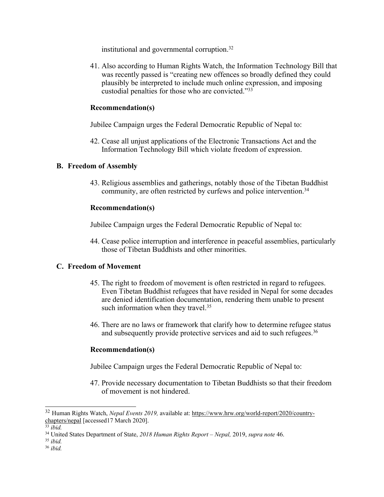institutional and governmental corruption. 32

41. Also according to Human Rights Watch, the Information Technology Bill that was recently passed is "creating new offences so broadly defined they could plausibly be interpreted to include much online expression, and imposing custodial penalties for those who are convicted."<sup>33</sup>

#### **Recommendation(s)**

Jubilee Campaign urges the Federal Democratic Republic of Nepal to:

42. Cease all unjust applications of the Electronic Transactions Act and the Information Technology Bill which violate freedom of expression.

#### **B. Freedom of Assembly**

43. Religious assemblies and gatherings, notably those of the Tibetan Buddhist community, are often restricted by curfews and police intervention. 34

#### **Recommendation(s)**

Jubilee Campaign urges the Federal Democratic Republic of Nepal to:

44. Cease police interruption and interference in peaceful assemblies, particularly those of Tibetan Buddhists and other minorities.

#### **C. Freedom of Movement**

- 45. The right to freedom of movement is often restricted in regard to refugees. Even Tibetan Buddhist refugees that have resided in Nepal for some decades are denied identification documentation, rendering them unable to presen<sup>t</sup> such information when they travel.<sup>35</sup>
- 46. There are no laws or framework that clarify how to determine refugee status and subsequently provide protective services and aid to such refugees. 36

#### **Recommendation(s)**

Jubilee Campaign urges the Federal Democratic Republic of Nepal to:

47. Provide necessary documentation to Tibetan Buddhists so that their freedom of movement is not hindered.

<sup>32</sup> Human Rights Watch, *Nepal Events 2019,* available at: https://www.hrw.org/world-report/2020/countrychapters/nepal [accessed17 March 2020].

<sup>33</sup> *ibid.*

<sup>34</sup> United States Department of State, *2018 Human Rights Report – Nepal,* 2019, *supra note* 46.

<sup>35</sup> *ibid.*

<sup>36</sup> *ibid.*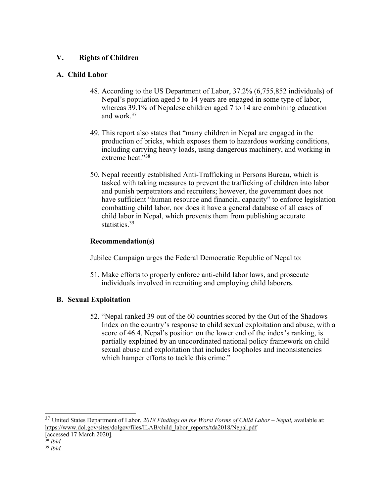## **V. Rights of Children**

## **A. Child Labor**

- 48. According to the US Department of Labor, 37.2% (6,755,852 individuals) of Nepal'<sup>s</sup> population aged 5 to 14 years are engaged in some type of labor, whereas 39.1% of Nepalese children aged 7 to 14 are combining education and work. 37
- 49. This repor<sup>t</sup> also states that "many children in Nepal are engaged in the production of bricks, which exposes them to hazardous working conditions, including carrying heavy loads, using dangerous machinery, and working in extreme heat."38
- 50. Nepal recently established Anti-Trafficking in Persons Bureau, which is tasked with taking measures to preven<sup>t</sup> the trafficking of children into labor and punish perpetrators and recruiters; however, the governmen<sup>t</sup> does not have sufficient "human resource and financial capacity" to enforce legislation combatting child labor, nor does it have <sup>a</sup> general database of all cases of child labor in Nepal, which prevents them from publishing accurate statistics.<sup>39</sup>

## **Recommendation(s)**

Jubilee Campaign urges the Federal Democratic Republic of Nepal to:

51. Make efforts to properly enforce anti-child labor laws, and prosecute individuals involved in recruiting and employing child laborers.

# **B. Sexual Exploitation**

52. "Nepal ranked 39 out of the 60 countries scored by the Out of the Shadows Index on the country'<sup>s</sup> response to child sexual exploitation and abuse, with <sup>a</sup> score of 46.4. Nepal'<sup>s</sup> position on the lower end of the index'<sup>s</sup> ranking, is partially explained by an uncoordinated national policy framework on child sexual abuse and exploitation that includes loopholes and inconsistencies which hamper efforts to tackle this crime."

37 United States Department of Labor, *2018 Findings on the Worst Forms of Child Labor – Nepal,* available at: https://www.dol.gov/sites/dolgov/files/ILAB/child\_labor\_reports/tda2018/Nepal.pdf

<sup>[</sup>accessed 17 March 2020].

<sup>38</sup> *ibid.*